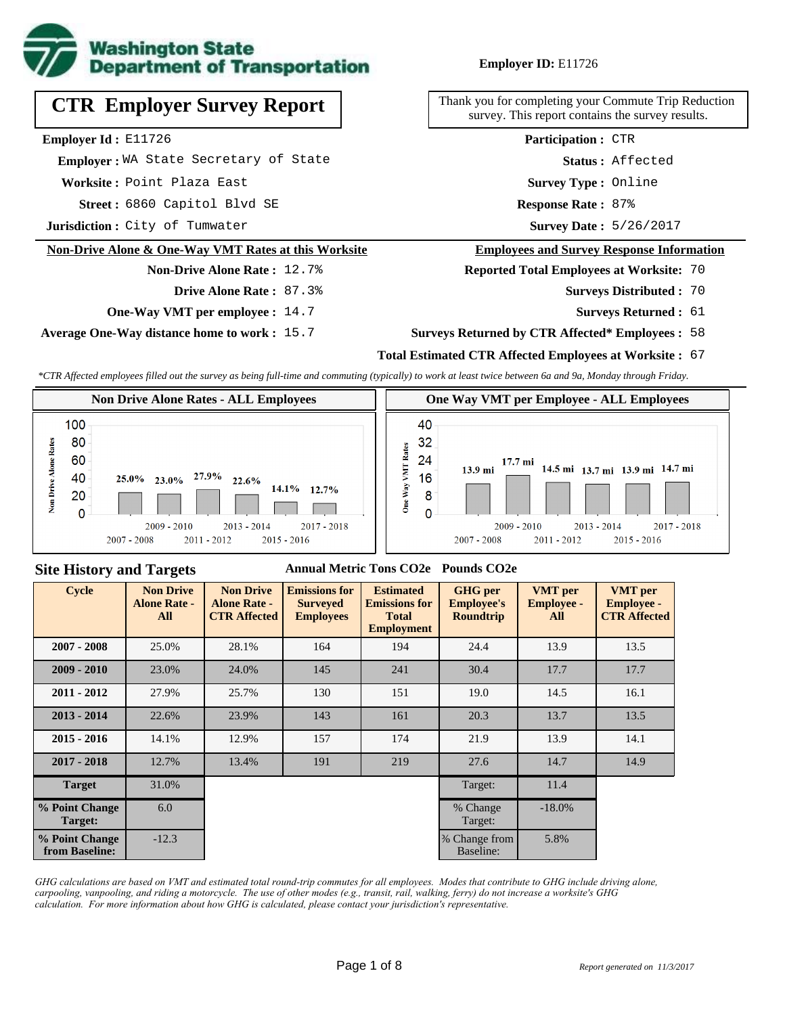

# **CTR Employer Survey Report**

**Employer Id :** E11726

 **Employer :** WA State Secretary of State

**Worksite :** Point Plaza East

6860 Capitol Blvd SE **Response Rate : Street :**

**Jurisdiction :** City of Tumwater

#### **Non-Drive Alone & One-Way VMT Rates at this Worksite**

#### **Non-Drive Alone Rate :** 12.7%

**Drive Alone Rate :** 87.3%

**One-Way VMT per employee :** 14.7

**Average One-Way distance home to work :** 15.7

#### **Employer ID:** E11726

Thank you for completing your Commute Trip Reduction survey. This report contains the survey results.

> **Status :** Affected **Participation :** CTR

**Survey Type :** Online

Response Rate: 87%

Survey Date: 5/26/2017

#### **Employees and Survey Response Information**

**Reported Total Employees at Worksite:** 70

- Surveys Distributed : 70
	- **Surveys Returned :** 61

#### **Surveys Returned by CTR Affected\* Employees :** 58

#### **Total Estimated CTR Affected Employees at Worksite :** 67

*\*CTR Affected employees filled out the survey as being full-time and commuting (typically) to work at least twice between 6a and 9a, Monday through Friday.*



#### **Site History and Targets**

#### **Annual Metric Tons CO2e Pounds CO2e**

| <b>Cycle</b>                     | <b>Non Drive</b><br><b>Alone Rate -</b><br><b>All</b> | <b>Non Drive</b><br><b>Alone Rate -</b><br><b>CTR Affected</b> | <b>Emissions for</b><br><b>Surveyed</b><br><b>Employees</b> | <b>Estimated</b><br><b>Emissions for</b><br><b>Total</b><br><b>Employment</b> | <b>GHG</b> per<br><b>Employee's</b><br><b>Roundtrip</b> | <b>VMT</b> per<br><b>Employee -</b><br>All | <b>VMT</b> per<br><b>Employee -</b><br><b>CTR Affected</b> |
|----------------------------------|-------------------------------------------------------|----------------------------------------------------------------|-------------------------------------------------------------|-------------------------------------------------------------------------------|---------------------------------------------------------|--------------------------------------------|------------------------------------------------------------|
| $2007 - 2008$                    | 25.0%                                                 | 28.1%                                                          | 164                                                         | 194                                                                           | 24.4                                                    | 13.9                                       | 13.5                                                       |
| $2009 - 2010$                    | 23.0%                                                 | 24.0%                                                          | 145                                                         | 241                                                                           | 30.4                                                    | 17.7                                       | 17.7                                                       |
| $2011 - 2012$                    | 27.9%                                                 | 25.7%                                                          | 130                                                         | 151                                                                           | 19.0                                                    | 14.5                                       | 16.1                                                       |
| $2013 - 2014$                    | 22.6%                                                 | 23.9%                                                          | 143                                                         | 161                                                                           | 20.3                                                    | 13.7                                       | 13.5                                                       |
| $2015 - 2016$                    | 14.1%                                                 | 12.9%                                                          | 157                                                         | 174                                                                           | 21.9                                                    | 13.9                                       | 14.1                                                       |
| $2017 - 2018$                    | 12.7%                                                 | 13.4%                                                          | 191                                                         | 219                                                                           | 27.6                                                    | 14.7                                       | 14.9                                                       |
| <b>Target</b>                    | 31.0%                                                 |                                                                |                                                             |                                                                               | Target:                                                 | 11.4                                       |                                                            |
| % Point Change<br>Target:        | 6.0                                                   |                                                                |                                                             |                                                                               | % Change<br>Target:                                     | $-18.0\%$                                  |                                                            |
| % Point Change<br>from Baseline: | $-12.3$                                               |                                                                |                                                             |                                                                               | % Change from<br>Baseline:                              | 5.8%                                       |                                                            |

*GHG calculations are based on VMT and estimated total round-trip commutes for all employees. Modes that contribute to GHG include driving alone, carpooling, vanpooling, and riding a motorcycle. The use of other modes (e.g., transit, rail, walking, ferry) do not increase a worksite's GHG calculation. For more information about how GHG is calculated, please contact your jurisdiction's representative.*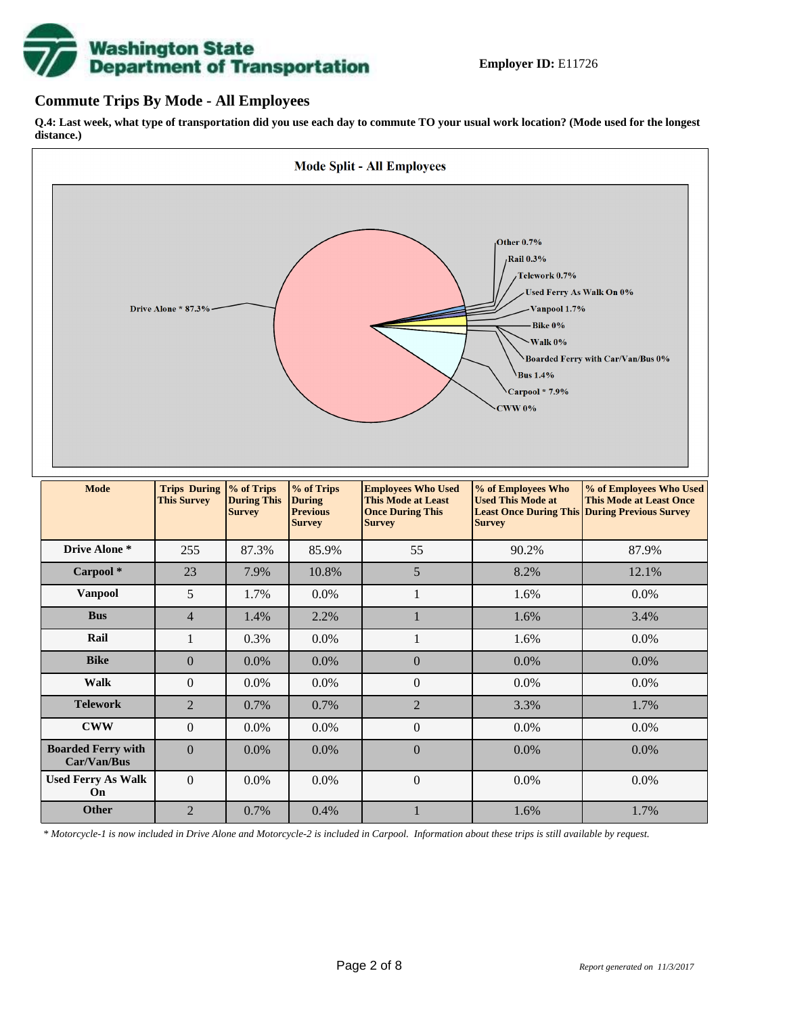# **Washington State<br>Department of Transportation**

#### **Commute Trips By Mode - All Employees**

**Q.4: Last week, what type of transportation did you use each day to commute TO your usual work location? (Mode used for the longest distance.)**



*\* Motorcycle-1 is now included in Drive Alone and Motorcycle-2 is included in Carpool. Information about these trips is still available by request.*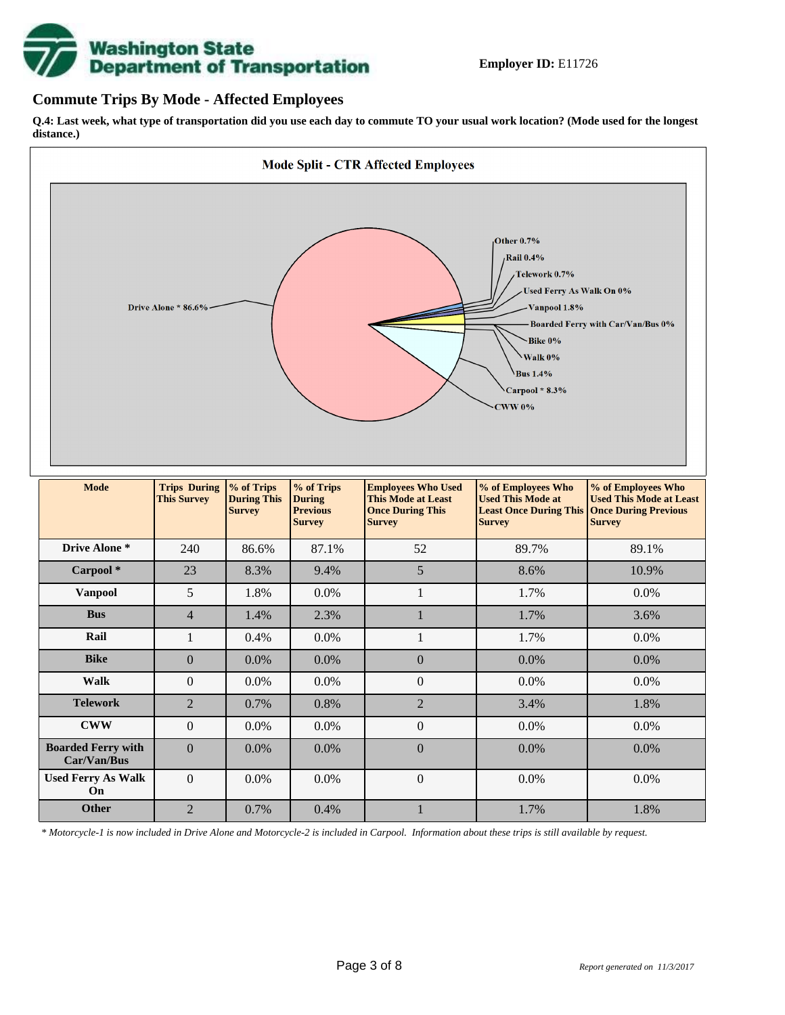

#### **Commute Trips By Mode - Affected Employees**

**Q.4: Last week, what type of transportation did you use each day to commute TO your usual work location? (Mode used for the longest distance.)**



*\* Motorcycle-1 is now included in Drive Alone and Motorcycle-2 is included in Carpool. Information about these trips is still available by request.*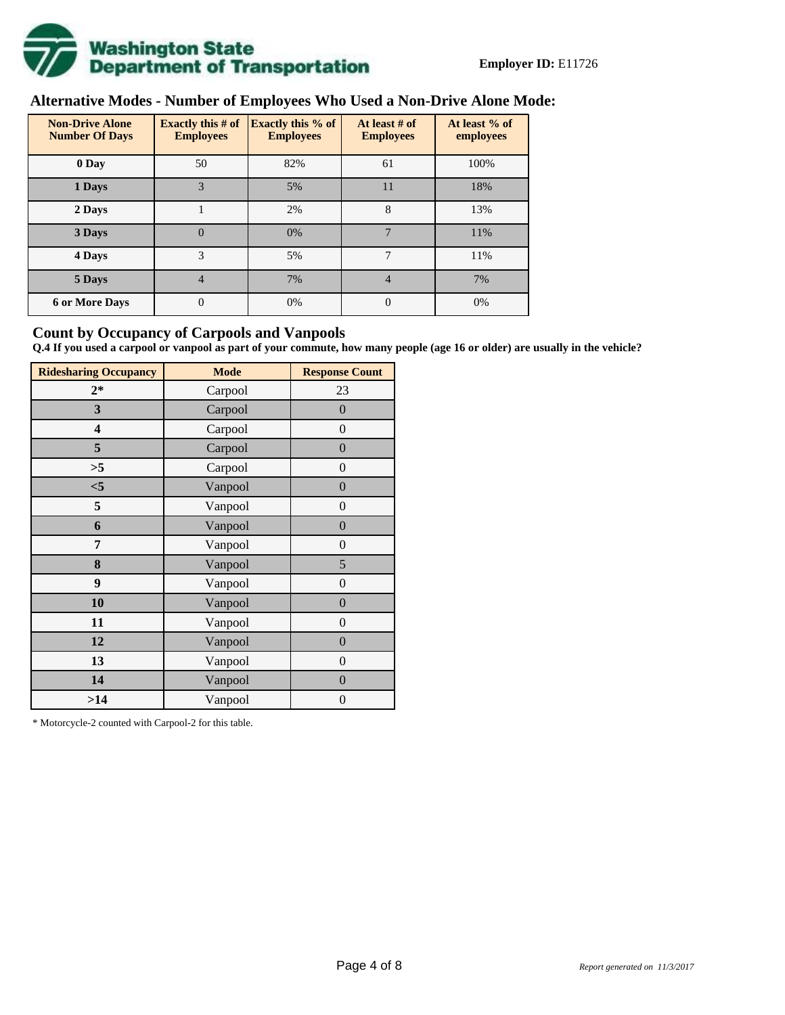

# **Alternative Modes - Number of Employees Who Used a Non-Drive Alone Mode:**

| <b>Non-Drive Alone</b><br><b>Number Of Days</b> | <b>Exactly this # of</b><br><b>Employees</b> | <b>Exactly this % of</b><br><b>Employees</b> | At least # of<br><b>Employees</b> | At least % of<br>employees |  |  |
|-------------------------------------------------|----------------------------------------------|----------------------------------------------|-----------------------------------|----------------------------|--|--|
| 0 Day                                           | 50                                           | 82%                                          | 61                                | 100%                       |  |  |
| 1 Days                                          | 3                                            | 5%                                           | 11                                | 18%                        |  |  |
| 2 Days                                          |                                              | 2%                                           | 8                                 | 13%                        |  |  |
| 3 Days                                          | $\overline{0}$                               | 0%                                           | 7                                 | 11%                        |  |  |
| 4 Days                                          | 3                                            | 5%                                           | 7                                 | 11%                        |  |  |
| 5 Days                                          | 4                                            | 7%                                           | 4                                 | 7%                         |  |  |
| <b>6 or More Days</b>                           | $\theta$                                     | 0%                                           | $\Omega$                          | 0%                         |  |  |

#### **Count by Occupancy of Carpools and Vanpools**

**Q.4 If you used a carpool or vanpool as part of your commute, how many people (age 16 or older) are usually in the vehicle?**

| <b>Ridesharing Occupancy</b> | <b>Mode</b> | <b>Response Count</b> |
|------------------------------|-------------|-----------------------|
| $2*$                         | Carpool     | 23                    |
| 3                            | Carpool     | $\overline{0}$        |
| 4                            | Carpool     | $\boldsymbol{0}$      |
| 5                            | Carpool     | $\boldsymbol{0}$      |
| >5                           | Carpool     | $\overline{0}$        |
| $<$ 5                        | Vanpool     | $\overline{0}$        |
| 5                            | Vanpool     | $\overline{0}$        |
| 6                            | Vanpool     | $\boldsymbol{0}$      |
| 7                            | Vanpool     | $\overline{0}$        |
| 8                            | Vanpool     | 5                     |
| 9                            | Vanpool     | $\overline{0}$        |
| 10                           | Vanpool     | $\overline{0}$        |
| 11                           | Vanpool     | $\boldsymbol{0}$      |
| 12                           | Vanpool     | $\boldsymbol{0}$      |
| 13                           | Vanpool     | $\boldsymbol{0}$      |
| 14                           | Vanpool     | $\overline{0}$        |
| >14                          | Vanpool     | $\boldsymbol{0}$      |

\* Motorcycle-2 counted with Carpool-2 for this table.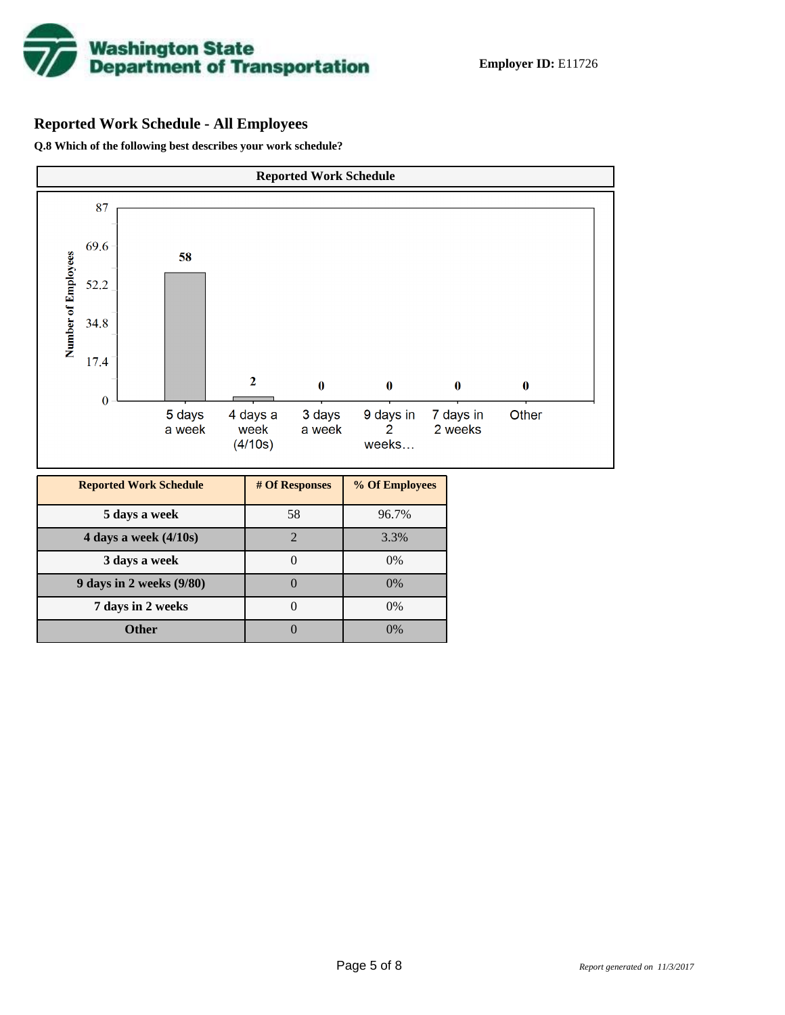

# **Reported Work Schedule - All Employees**

**Q.8 Which of the following best describes your work schedule?**

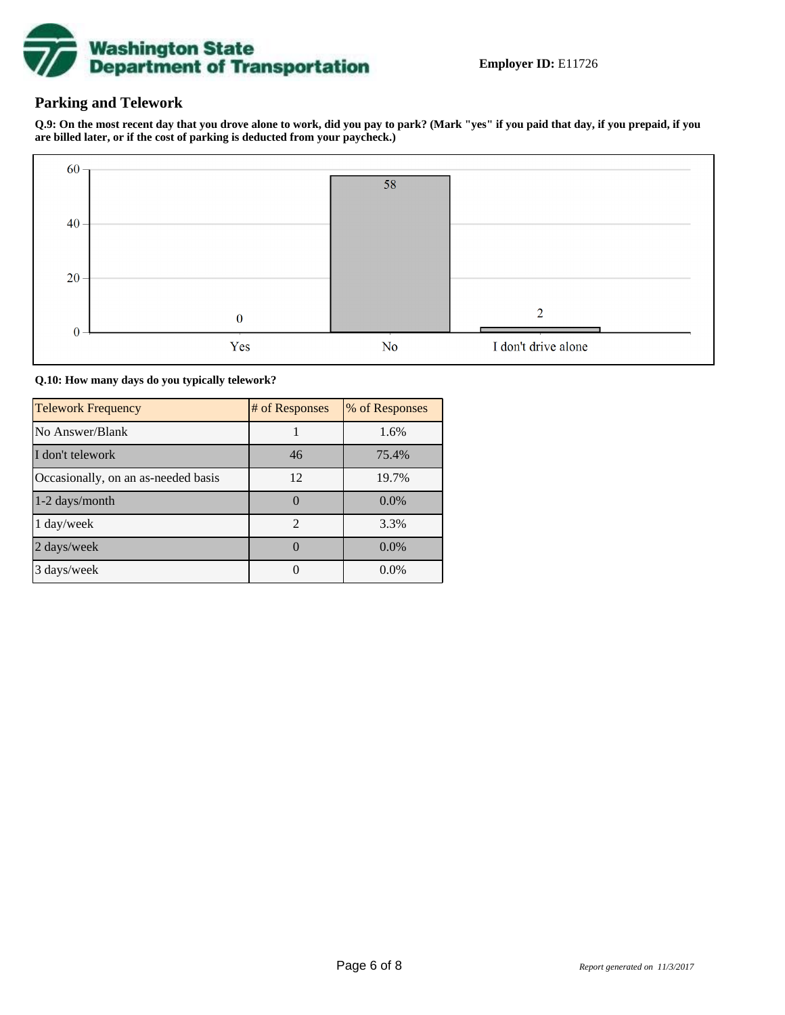

### **Parking and Telework**

**Q.9: On the most recent day that you drove alone to work, did you pay to park? (Mark "yes" if you paid that day, if you prepaid, if you are billed later, or if the cost of parking is deducted from your paycheck.)**



**Q.10: How many days do you typically telework?**

| <b>Telework Frequency</b>           | # of Responses | % of Responses |
|-------------------------------------|----------------|----------------|
| No Answer/Blank                     |                | 1.6%           |
| I don't telework                    | 46             | 75.4%          |
| Occasionally, on an as-needed basis | 12             | 19.7%          |
| 1-2 days/month                      | 0              | $0.0\%$        |
| 1 day/week                          | $\overline{2}$ | 3.3%           |
| 2 days/week                         |                | 0.0%           |
| 3 days/week                         |                | $0.0\%$        |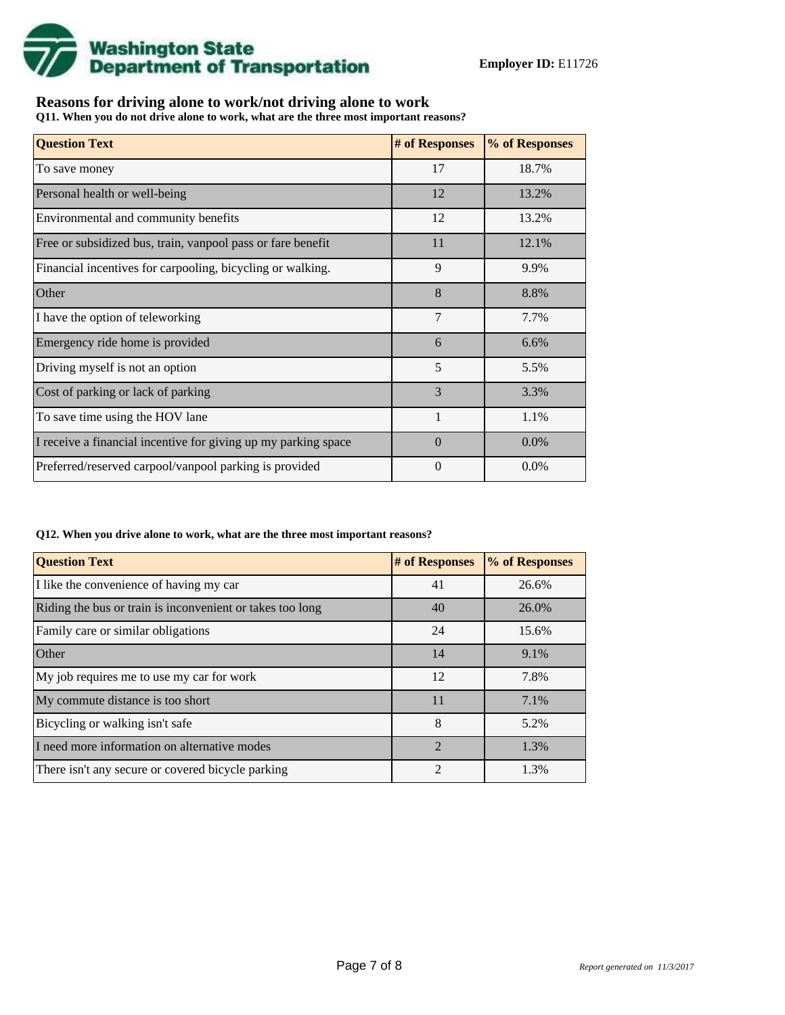

## **Reasons for driving alone to work/not driving alone to work**

**Q11. When you do not drive alone to work, what are the three most important reasons?**

| <b>Question Text</b>                                           | # of Responses | % of Responses |
|----------------------------------------------------------------|----------------|----------------|
| To save money                                                  | 17             | 18.7%          |
| Personal health or well-being                                  | 12             | 13.2%          |
| Environmental and community benefits                           | 12             | 13.2%          |
| Free or subsidized bus, train, vanpool pass or fare benefit    | 11             | 12.1%          |
| Financial incentives for carpooling, bicycling or walking.     | 9              | 9.9%           |
| Other                                                          | 8              | 8.8%           |
| I have the option of teleworking                               | 7              | 7.7%           |
| Emergency ride home is provided                                | 6              | 6.6%           |
| Driving myself is not an option                                | 5              | 5.5%           |
| Cost of parking or lack of parking                             | 3              | 3.3%           |
| To save time using the HOV lane                                |                | 1.1%           |
| I receive a financial incentive for giving up my parking space | $\Omega$       | 0.0%           |
| Preferred/reserved carpool/vanpool parking is provided         | $\theta$       | $0.0\%$        |

#### **Q12. When you drive alone to work, what are the three most important reasons?**

| <b>Question Text</b>                                      | # of Responses              | % of Responses |
|-----------------------------------------------------------|-----------------------------|----------------|
| I like the convenience of having my car                   | 41                          | 26.6%          |
| Riding the bus or train is inconvenient or takes too long | 40                          | 26.0%          |
| Family care or similar obligations                        | 24                          | 15.6%          |
| <b>Other</b>                                              | 14                          | 9.1%           |
| My job requires me to use my car for work                 | 12                          | 7.8%           |
| My commute distance is too short                          | 11                          | 7.1%           |
| Bicycling or walking isn't safe                           | 8                           | 5.2%           |
| I need more information on alternative modes              | $\mathcal{D}_{\mathcal{A}}$ | 1.3%           |
| There isn't any secure or covered bicycle parking         | $\mathfrak{D}$              | 1.3%           |